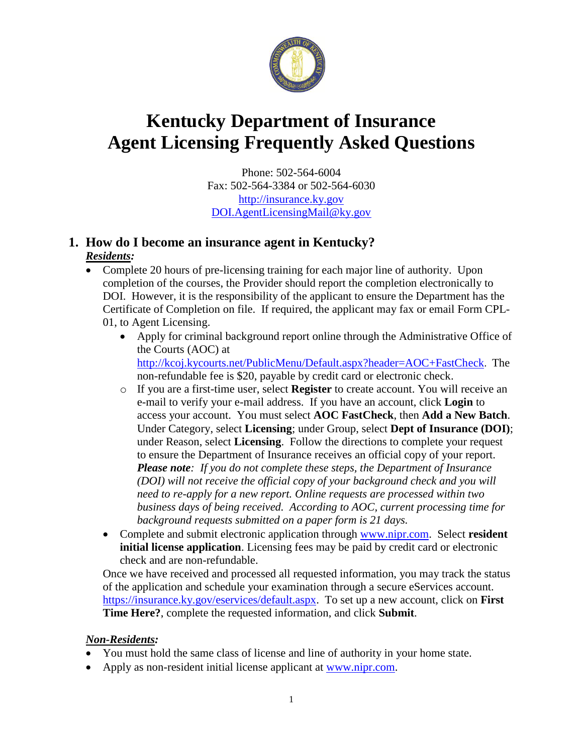

# **Kentucky Department of Insurance Agent Licensing Frequently Asked Questions**

Phone: 502-564-6004 Fax: 502-564-3384 or 502-564-6030 [http://insurance.ky.gov](http://insurance.ky.gov/) [DOI.AgentLicensingMail@ky.gov](mailto:DOI.AgentLicensingMail@ky.gov)

## **1. How do I become an insurance agent in Kentucky?** *Residents:*

- Complete 20 hours of pre-licensing training for each major line of authority. Upon completion of the courses, the Provider should report the completion electronically to DOI. However, it is the responsibility of the applicant to ensure the Department has the Certificate of Completion on file. If required, the applicant may fax or email Form CPL-01, to Agent Licensing.
	- Apply for criminal background report online through the Administrative Office of the Courts (AOC) at <http://kcoj.kycourts.net/PublicMenu/Default.aspx?header=AOC+FastCheck>. The non-refundable fee is \$20, payable by credit card or electronic check.
	- o If you are a first-time user, select **Register** to create account. You will receive an e-mail to verify your e-mail address. If you have an account, click **Login** to access your account. You must select **AOC FastCheck**, then **Add a New Batch**. Under Category, select **Licensing**; under Group, select **Dept of Insurance (DOI)**; under Reason, select **Licensing**. Follow the directions to complete your request to ensure the Department of Insurance receives an official copy of your report. *Please note: If you do not complete these steps, the Department of Insurance (DOI) will not receive the official copy of your background check and you will need to re-apply for a new report. Online requests are processed within two business days of being received. According to AOC, current processing time for background requests submitted on a paper form is 21 days.*
	- Complete and submit electronic application through [www.nipr.com.](http://www.nipr.com/) Select **resident initial license application**. Licensing fees may be paid by credit card or electronic check and are non-refundable.

Once we have received and processed all requested information, you may track the status of the application and schedule your examination through a secure eServices account. [https://insurance.ky.gov/eservices/default.aspx.](https://insurance.ky.gov/eservices/default.aspx) To set up a new account, click on **First Time Here?**, complete the requested information, and click **Submit**.

## *Non-Residents:*

- You must hold the same class of license and line of authority in your home state.
- Apply as non-resident initial license applicant at [www.nipr.com.](http://www.nipr.com/)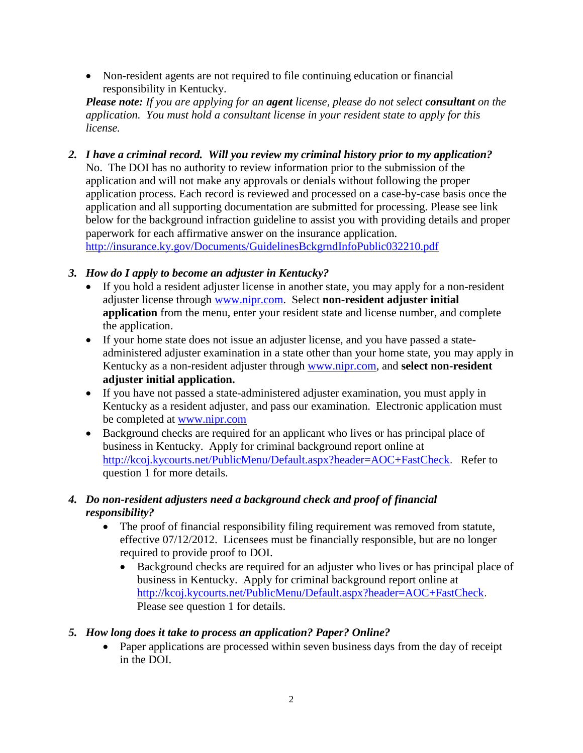Non-resident agents are not required to file continuing education or financial responsibility in Kentucky.

*Please note: If you are applying for an agent license, please do not select consultant on the application. You must hold a consultant license in your resident state to apply for this license.*

*2. I have a criminal record. Will you review my criminal history prior to my application?* No. The DOI has no authority to review information prior to the submission of the application and will not make any approvals or denials without following the proper application process. Each record is reviewed and processed on a case-by-case basis once the application and all supporting documentation are submitted for processing. Please see link below for the background infraction guideline to assist you with providing details and proper paperwork for each affirmative answer on the insurance application. <http://insurance.ky.gov/Documents/GuidelinesBckgrndInfoPublic032210.pdf>

## *3. How do I apply to become an adjuster in Kentucky?*

- If you hold a resident adjuster license in another state, you may apply for a non-resident adjuster license through [www.nipr.com.](http://www.nipr.com/) Select **non-resident adjuster initial application** from the menu, enter your resident state and license number, and complete the application.
- If your home state does not issue an adjuster license, and you have passed a stateadministered adjuster examination in a state other than your home state, you may apply in Kentucky as a non-resident adjuster through [www.nipr.com,](http://www.nipr.com/) and **select non-resident adjuster initial application.**
- If you have not passed a state-administered adjuster examination, you must apply in Kentucky as a resident adjuster, and pass our examination. Electronic application must be completed at [www.nipr.com](http://www.nipr.com/)
- Background checks are required for an applicant who lives or has principal place of business in Kentucky. Apply for criminal background report online at <http://kcoj.kycourts.net/PublicMenu/Default.aspx?header=AOC+FastCheck>. Refer to question 1 for more details.

## *4. Do non-resident adjusters need a background check and proof of financial responsibility?*

- The proof of financial responsibility filing requirement was removed from statute, effective 07/12/2012. Licensees must be financially responsible, but are no longer required to provide proof to DOI.
	- Background checks are required for an adjuster who lives or has principal place of business in Kentucky. Apply for criminal background report online at <http://kcoj.kycourts.net/PublicMenu/Default.aspx?header=AOC+FastCheck>. Please see question 1 for details.

## *5. How long does it take to process an application? Paper? Online?*

• Paper applications are processed within seven business days from the day of receipt in the DOI.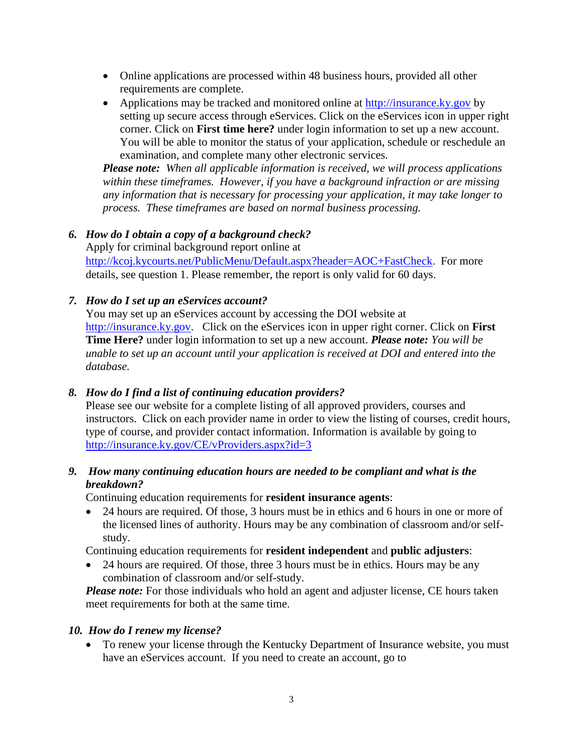- Online applications are processed within 48 business hours, provided all other requirements are complete.
- Applications may be tracked and monitored online at [http://insurance.ky.gov](http://insurance.ky.gov/) by setting up secure access through eServices. Click on the eServices icon in upper right corner. Click on **First time here?** under login information to set up a new account. You will be able to monitor the status of your application, schedule or reschedule an examination, and complete many other electronic services.

*Please note: When all applicable information is received, we will process applications within these timeframes. However, if you have a background infraction or are missing any information that is necessary for processing your application, it may take longer to process. These timeframes are based on normal business processing.* 

#### *6. How do I obtain a copy of a background check?*

Apply for criminal background report online at <http://kcoj.kycourts.net/PublicMenu/Default.aspx?header=AOC+FastCheck>. For more details, see question 1. Please remember, the report is only valid for 60 days.

#### *7. How do I set up an eServices account?*

You may set up an eServices account by accessing the DOI website at [http://insurance.ky.gov.](http://insurance.ky.gov/) Click on the eServices icon in upper right corner. Click on **First Time Here?** under login information to set up a new account. *Please note: You will be unable to set up an account until your application is received at DOI and entered into the database.*

#### *8. How do I find a list of continuing education providers?*

Please see our website for a complete listing of all approved providers, courses and instructors. Click on each provider name in order to view the listing of courses, credit hours, type of course, and provider contact information. Information is available by going to <http://insurance.ky.gov/CE/vProviders.aspx?id=3>

## *9. How many continuing education hours are needed to be compliant and what is the breakdown?*

Continuing education requirements for **resident insurance agents**:

• 24 hours are required. Of those, 3 hours must be in ethics and 6 hours in one or more of the licensed lines of authority. Hours may be any combination of classroom and/or selfstudy.

Continuing education requirements for **resident independent** and **public adjusters**:

• 24 hours are required. Of those, three 3 hours must be in ethics. Hours may be any combination of classroom and/or self-study.

*Please note:* For those individuals who hold an agent and adjuster license, CE hours taken meet requirements for both at the same time.

#### *10. How do I renew my license?*

• To renew your license through the Kentucky Department of Insurance website, you must have an eServices account. If you need to create an account, go to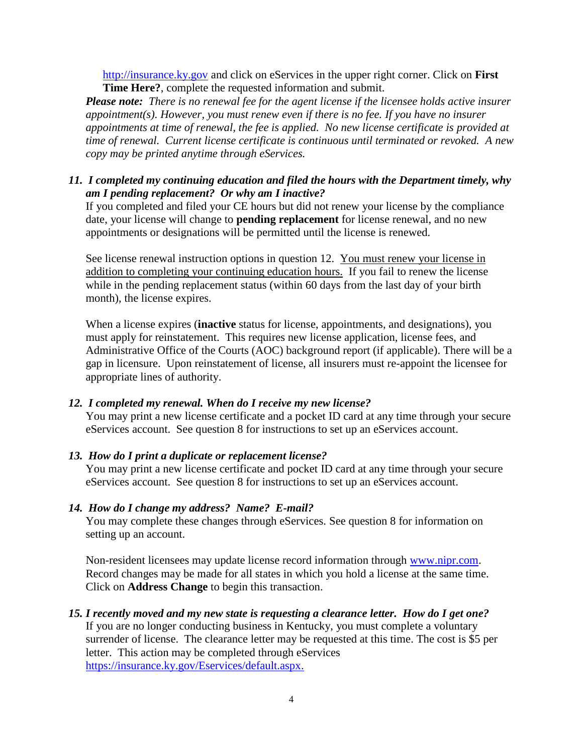[http://insurance.ky.gov](http://insurance.ky.gov/) and click on eServices in the upper right corner. Click on **First Time Here?**, complete the requested information and submit.

*Please note: There is no renewal fee for the agent license if the licensee holds active insurer appointment(s). However, you must renew even if there is no fee. If you have no insurer appointments at time of renewal, the fee is applied. No new license certificate is provided at time of renewal. Current license certificate is continuous until terminated or revoked. A new copy may be printed anytime through eServices.*

#### *11. I completed my continuing education and filed the hours with the Department timely, why am I pending replacement? Or why am I inactive?*

If you completed and filed your CE hours but did not renew your license by the compliance date, your license will change to **pending replacement** for license renewal, and no new appointments or designations will be permitted until the license is renewed.

See license renewal instruction options in question 12. You must renew your license in addition to completing your continuing education hours. If you fail to renew the license while in the pending replacement status (within 60 days from the last day of your birth month), the license expires.

When a license expires (**inactive** status for license, appointments, and designations), you must apply for reinstatement. This requires new license application, license fees, and Administrative Office of the Courts (AOC) background report (if applicable). There will be a gap in licensure. Upon reinstatement of license, all insurers must re-appoint the licensee for appropriate lines of authority.

#### *12. I completed my renewal. When do I receive my new license?*

You may print a new license certificate and a pocket ID card at any time through your secure eServices account.See question 8 for instructions to set up an eServices account.

#### *13. How do I print a duplicate or replacement license?*

You may print a new license certificate and pocket ID card at any time through your secure eServices account.See question 8 for instructions to set up an eServices account.

#### *14. How do I change my address? Name? E-mail?*

You may complete these changes through eServices. See question 8 for information on setting up an account.

Non-resident licensees may update license record information through [www.nipr.com.](http://www.nipr.com/) Record changes may be made for all states in which you hold a license at the same time. Click on **Address Change** to begin this transaction.

# *15. I recently moved and my new state is requesting a clearance letter. How do I get one?*

If you are no longer conducting business in Kentucky, you must complete a voluntary surrender of license. The clearance letter may be requested at this time. The cost is \$5 per letter. This action may be completed through eServices

[https://insurance.ky.gov/Eservices/default.aspx.](https://insurance.ky.gov/Eservices/default.aspx)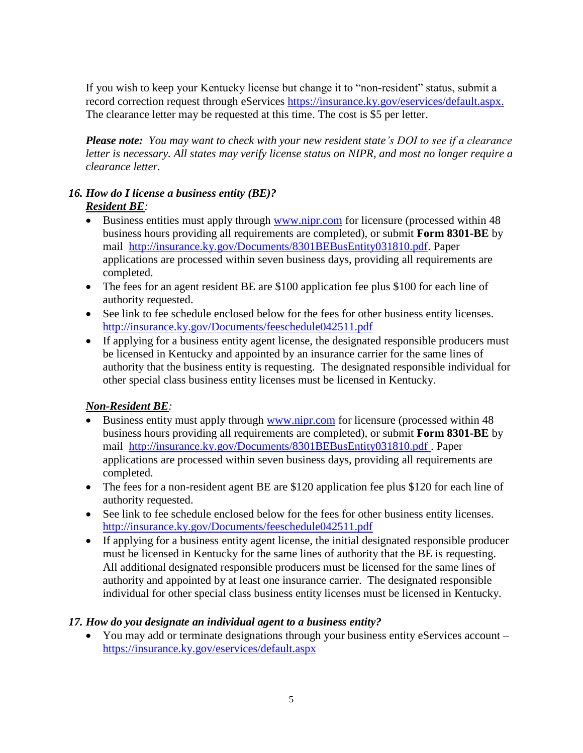If you wish to keep your Kentucky license but change it to "non-resident" status, submit a record correction request through eServices [https://insurance.ky.gov/eservices/default.aspx.](https://insurance.ky.gov/eservices/default.aspx) The clearance letter may be requested at this time. The cost is \$5 per letter.

*Please note: You may want to check with your new resident state's DOI to see if a clearance letter is necessary. All states may verify license status on NIPR, and most no longer require a clearance letter.*

## *16. How do I license a business entity (BE)? Resident BE:*

- Business entities must apply through [www.nipr.com](http://www.nipr.com/) for licensure (processed within 48 business hours providing all requirements are completed), or submit **Form 8301-BE** by mail [http://insurance.ky.gov/Documents/8301BEBusEntity031810.pdf.](http://insurance.ky.gov/Documents/8301BEBusEntity031810.pdf) Paper applications are processed within seven business days, providing all requirements are completed.
- The fees for an agent resident BE are \$100 application fee plus \$100 for each line of authority requested.
- See link to fee schedule enclosed below for the fees for other business entity licenses. <http://insurance.ky.gov/Documents/feeschedule042511.pdf>
- If applying for a business entity agent license, the designated responsible producers must be licensed in Kentucky and appointed by an insurance carrier for the same lines of authority that the business entity is requesting. The designated responsible individual for other special class business entity licenses must be licensed in Kentucky.

## *Non-Resident BE:*

- Business entity must apply through [www.nipr.com](http://www.nipr.com/) for licensure (processed within 48 business hours providing all requirements are completed), or submit **Form 8301-BE** by mail [http://insurance.ky.gov/Documents/8301BEBusEntity031810.pdf .](http://insurance.ky.gov/Documents/8301BEBusEntity031810.pdf) Paper applications are processed within seven business days, providing all requirements are completed.
- The fees for a non-resident agent BE are \$120 application fee plus \$120 for each line of authority requested.
- See link to fee schedule enclosed below for the fees for other business entity licenses. <http://insurance.ky.gov/Documents/feeschedule042511.pdf>
- If applying for a business entity agent license, the initial designated responsible producer must be licensed in Kentucky for the same lines of authority that the BE is requesting. All additional designated responsible producers must be licensed for the same lines of authority and appointed by at least one insurance carrier. The designated responsible individual for other special class business entity licenses must be licensed in Kentucky.

#### *17. How do you designate an individual agent to a business entity?*

• You may add or terminate designations through your business entity eServices account – <https://insurance.ky.gov/eservices/default.aspx>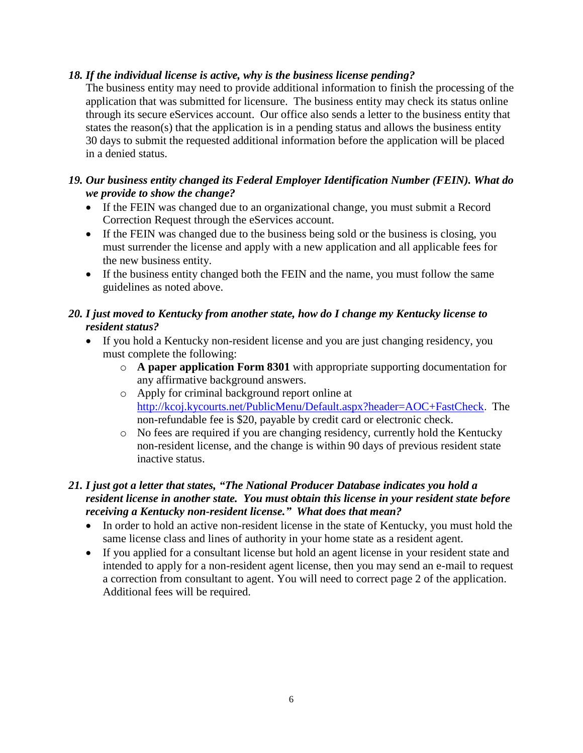#### *18. If the individual license is active, why is the business license pending?*

The business entity may need to provide additional information to finish the processing of the application that was submitted for licensure. The business entity may check its status online through its secure eServices account. Our office also sends a letter to the business entity that states the reason(s) that the application is in a pending status and allows the business entity 30 days to submit the requested additional information before the application will be placed in a denied status.

### *19. Our business entity changed its Federal Employer Identification Number (FEIN). What do we provide to show the change?*

- If the FEIN was changed due to an organizational change, you must submit a Record Correction Request through the eServices account.
- If the FEIN was changed due to the business being sold or the business is closing, you must surrender the license and apply with a new application and all applicable fees for the new business entity.
- If the business entity changed both the FEIN and the name, you must follow the same guidelines as noted above.

## *20. I just moved to Kentucky from another state, how do I change my Kentucky license to resident status?*

- If you hold a Kentucky non-resident license and you are just changing residency, you must complete the following:
	- o **A paper application Form 8301** with appropriate supporting documentation for any affirmative background answers.
	- o Apply for criminal background report online at <http://kcoj.kycourts.net/PublicMenu/Default.aspx?header=AOC+FastCheck>. The non-refundable fee is \$20, payable by credit card or electronic check.
	- o No fees are required if you are changing residency, currently hold the Kentucky non-resident license, and the change is within 90 days of previous resident state inactive status.

## *21. I just got a letter that states, "The National Producer Database indicates you hold a resident license in another state. You must obtain this license in your resident state before receiving a Kentucky non-resident license." What does that mean?*

- In order to hold an active non-resident license in the state of Kentucky, you must hold the same license class and lines of authority in your home state as a resident agent.
- If you applied for a consultant license but hold an agent license in your resident state and intended to apply for a non-resident agent license, then you may send an e-mail to request a correction from consultant to agent. You will need to correct page 2 of the application. Additional fees will be required.